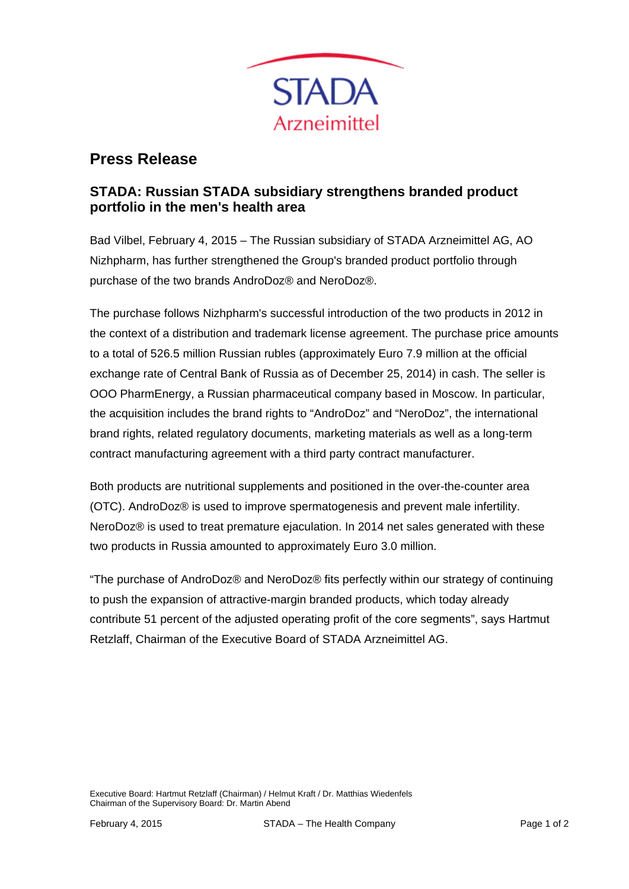

## **Press Release**

## **STADA: Russian STADA subsidiary strengthens branded product portfolio in the men's health area**

Bad Vilbel, February 4, 2015 – The Russian subsidiary of STADA Arzneimittel AG, AO Nizhpharm, has further strengthened the Group's branded product portfolio through purchase of the two brands AndroDoz® and NeroDoz®.

The purchase follows Nizhpharm's successful introduction of the two products in 2012 in the context of a distribution and trademark license agreement. The purchase price amounts to a total of 526.5 million Russian rubles (approximately Euro 7.9 million at the official exchange rate of Central Bank of Russia as of December 25, 2014) in cash. The seller is OOO PharmEnergy, a Russian pharmaceutical company based in Moscow. In particular, the acquisition includes the brand rights to "AndroDoz" and "NeroDoz", the international brand rights, related regulatory documents, marketing materials as well as a long-term contract manufacturing agreement with a third party contract manufacturer.

Both products are nutritional supplements and positioned in the over-the-counter area (OTC). AndroDoz® is used to improve spermatogenesis and prevent male infertility. NeroDoz® is used to treat premature ejaculation. In 2014 net sales generated with these two products in Russia amounted to approximately Euro 3.0 million.

"The purchase of AndroDoz® and NeroDoz® fits perfectly within our strategy of continuing to push the expansion of attractive-margin branded products, which today already contribute 51 percent of the adjusted operating profit of the core segments", says Hartmut Retzlaff, Chairman of the Executive Board of STADA Arzneimittel AG.

Executive Board: Hartmut Retzlaff (Chairman) / Helmut Kraft / Dr. Matthias Wiedenfels Chairman of the Supervisory Board: Dr. Martin Abend